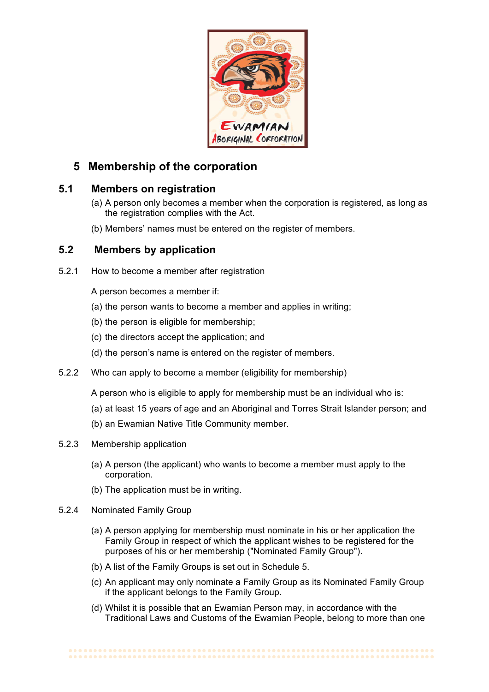

# **5 Membership of the corporation**

### **5.1 Members on registration**

- (a) A person only becomes a member when the corporation is registered, as long as the registration complies with the Act.
- (b) Members' names must be entered on the register of members.

# **5.2 Members by application**

5.2.1 How to become a member after registration

A person becomes a member if:

- (a) the person wants to become a member and applies in writing;
- (b) the person is eligible for membership;
- (c) the directors accept the application; and
- (d) the person's name is entered on the register of members.
- 5.2.2 Who can apply to become a member (eligibility for membership)

A person who is eligible to apply for membership must be an individual who is:

- (a) at least 15 years of age and an Aboriginal and Torres Strait Islander person; and
- (b) an Ewamian Native Title Community member.
- 5.2.3 Membership application
	- (a) A person (the applicant) who wants to become a member must apply to the corporation.
	- (b) The application must be in writing.
- 5.2.4 Nominated Family Group
	- (a) A person applying for membership must nominate in his or her application the Family Group in respect of which the applicant wishes to be registered for the purposes of his or her membership ("Nominated Family Group").
	- (b) A list of the Family Groups is set out in Schedule 5.
	- (c) An applicant may only nominate a Family Group as its Nominated Family Group if the applicant belongs to the Family Group.
	- (d) Whilst it is possible that an Ewamian Person may, in accordance with the Traditional Laws and Customs of the Ewamian People, belong to more than one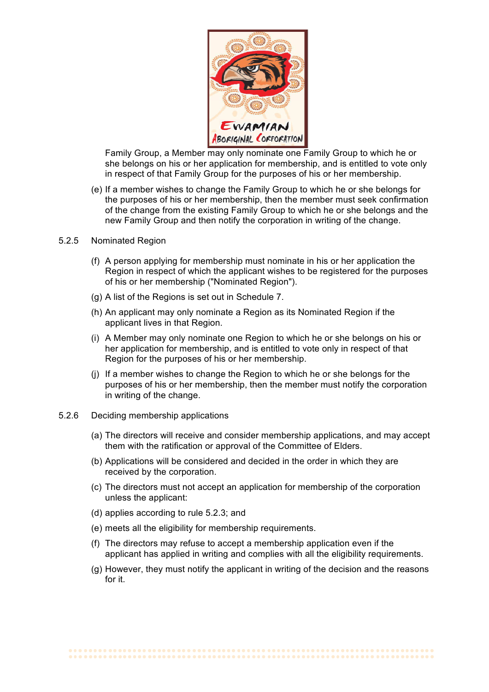

Family Group, a Member may only nominate one Family Group to which he or she belongs on his or her application for membership, and is entitled to vote only in respect of that Family Group for the purposes of his or her membership.

- (e) If a member wishes to change the Family Group to which he or she belongs for the purposes of his or her membership, then the member must seek confirmation of the change from the existing Family Group to which he or she belongs and the new Family Group and then notify the corporation in writing of the change.
- 5.2.5 Nominated Region
	- (f) A person applying for membership must nominate in his or her application the Region in respect of which the applicant wishes to be registered for the purposes of his or her membership ("Nominated Region").
	- (g) A list of the Regions is set out in Schedule 7.
	- (h) An applicant may only nominate a Region as its Nominated Region if the applicant lives in that Region.
	- (i) A Member may only nominate one Region to which he or she belongs on his or her application for membership, and is entitled to vote only in respect of that Region for the purposes of his or her membership.
	- (j) If a member wishes to change the Region to which he or she belongs for the purposes of his or her membership, then the member must notify the corporation in writing of the change.
- 5.2.6 Deciding membership applications
	- (a) The directors will receive and consider membership applications, and may accept them with the ratification or approval of the Committee of Elders.
	- (b) Applications will be considered and decided in the order in which they are received by the corporation.
	- (c) The directors must not accept an application for membership of the corporation unless the applicant:
	- (d) applies according to rule 5.2.3; and
	- (e) meets all the eligibility for membership requirements.
	- (f) The directors may refuse to accept a membership application even if the applicant has applied in writing and complies with all the eligibility requirements.
	- (g) However, they must notify the applicant in writing of the decision and the reasons for it.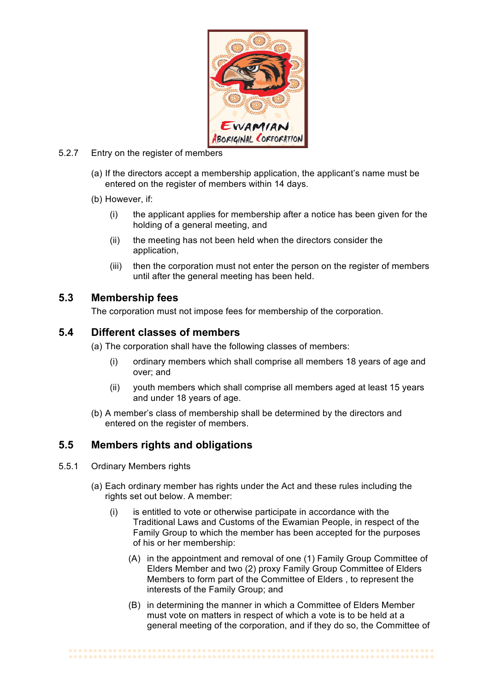

- 5.2.7 Entry on the register of members
	- (a) If the directors accept a membership application, the applicant's name must be entered on the register of members within 14 days.
	- (b) However, if:
		- (i) the applicant applies for membership after a notice has been given for the holding of a general meeting, and
		- (ii) the meeting has not been held when the directors consider the application,
		- (iii) then the corporation must not enter the person on the register of members until after the general meeting has been held.

### **5.3 Membership fees**

The corporation must not impose fees for membership of the corporation.

### **5.4 Different classes of members**

(a) The corporation shall have the following classes of members:

- (i) ordinary members which shall comprise all members 18 years of age and over; and
- (ii) youth members which shall comprise all members aged at least 15 years and under 18 years of age.
- (b) A member's class of membership shall be determined by the directors and entered on the register of members.

### **5.5 Members rights and obligations**

- 5.5.1 Ordinary Members rights
	- (a) Each ordinary member has rights under the Act and these rules including the rights set out below. A member:
		- (i) is entitled to vote or otherwise participate in accordance with the Traditional Laws and Customs of the Ewamian People, in respect of the Family Group to which the member has been accepted for the purposes of his or her membership:
			- (A) in the appointment and removal of one (1) Family Group Committee of Elders Member and two (2) proxy Family Group Committee of Elders Members to form part of the Committee of Elders , to represent the interests of the Family Group; and
			- (B) in determining the manner in which a Committee of Elders Member must vote on matters in respect of which a vote is to be held at a general meeting of the corporation, and if they do so, the Committee of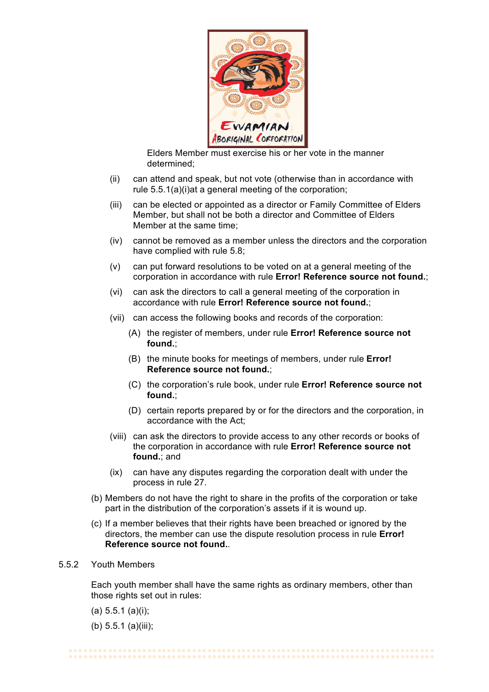

Elders Member must exercise his or her vote in the manner determined;

- (ii) can attend and speak, but not vote (otherwise than in accordance with rule 5.5.1(a)(i)at a general meeting of the corporation;
- (iii) can be elected or appointed as a director or Family Committee of Elders Member, but shall not be both a director and Committee of Elders Member at the same time;
- (iv) cannot be removed as a member unless the directors and the corporation have complied with rule 5.8;
- (v) can put forward resolutions to be voted on at a general meeting of the corporation in accordance with rule **Error! Reference source not found.**;
- (vi) can ask the directors to call a general meeting of the corporation in accordance with rule **Error! Reference source not found.**;
- (vii) can access the following books and records of the corporation:
	- (A) the register of members, under rule **Error! Reference source not found.**;
	- (B) the minute books for meetings of members, under rule **Error! Reference source not found.**;
	- (C) the corporation's rule book, under rule **Error! Reference source not found.**;
	- (D) certain reports prepared by or for the directors and the corporation, in accordance with the Act;
- (viii) can ask the directors to provide access to any other records or books of the corporation in accordance with rule **Error! Reference source not found.**; and
- (ix) can have any disputes regarding the corporation dealt with under the process in rule 27.
- (b) Members do not have the right to share in the profits of the corporation or take part in the distribution of the corporation's assets if it is wound up.
- (c) If a member believes that their rights have been breached or ignored by the directors, the member can use the dispute resolution process in rule **Error! Reference source not found.**.

#### 5.5.2 Youth Members

Each youth member shall have the same rights as ordinary members, other than those rights set out in rules:

#### (a) 5.5.1 (a)(i);

(b) 5.5.1 (a)(iii);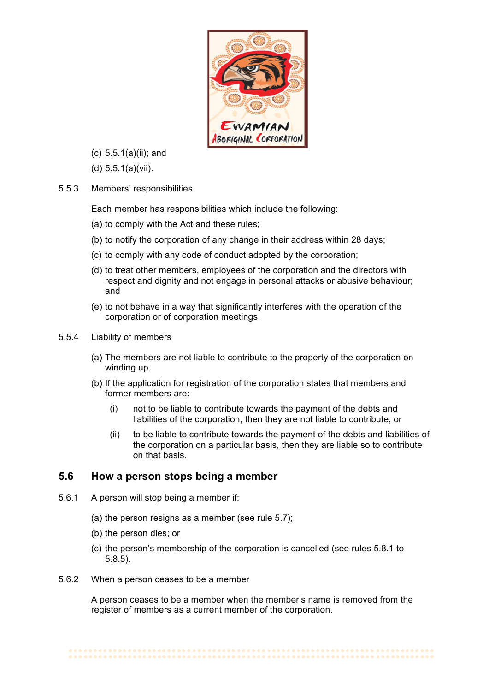

- (c) 5.5.1(a)(ii); and
- (d) 5.5.1(a)(vii).
- 5.5.3 Members' responsibilities

Each member has responsibilities which include the following:

- (a) to comply with the Act and these rules;
- (b) to notify the corporation of any change in their address within 28 days;
- (c) to comply with any code of conduct adopted by the corporation;
- (d) to treat other members, employees of the corporation and the directors with respect and dignity and not engage in personal attacks or abusive behaviour; and
- (e) to not behave in a way that significantly interferes with the operation of the corporation or of corporation meetings.

#### 5.5.4 Liability of members

- (a) The members are not liable to contribute to the property of the corporation on winding up.
- (b) If the application for registration of the corporation states that members and former members are:
	- (i) not to be liable to contribute towards the payment of the debts and liabilities of the corporation, then they are not liable to contribute; or
	- (ii) to be liable to contribute towards the payment of the debts and liabilities of the corporation on a particular basis, then they are liable so to contribute on that basis.

### **5.6 How a person stops being a member**

- 5.6.1 A person will stop being a member if:
	- (a) the person resigns as a member (see rule 5.7);
	- (b) the person dies; or
	- (c) the person's membership of the corporation is cancelled (see rules 5.8.1 to 5.8.5).
- 5.6.2 When a person ceases to be a member

A person ceases to be a member when the member's name is removed from the register of members as a current member of the corporation.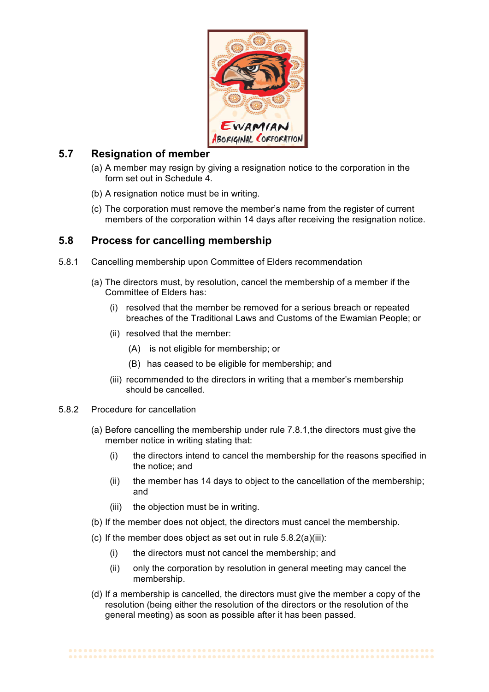

## **5.7 Resignation of member**

- (a) A member may resign by giving a resignation notice to the corporation in the form set out in Schedule 4.
- (b) A resignation notice must be in writing.
- (c) The corporation must remove the member's name from the register of current members of the corporation within 14 days after receiving the resignation notice.

# **5.8 Process for cancelling membership**

- 5.8.1 Cancelling membership upon Committee of Elders recommendation
	- (a) The directors must, by resolution, cancel the membership of a member if the Committee of Elders has:
		- (i) resolved that the member be removed for a serious breach or repeated breaches of the Traditional Laws and Customs of the Ewamian People; or
		- (ii) resolved that the member:
			- (A) is not eligible for membership; or
			- (B) has ceased to be eligible for membership; and
		- (iii) recommended to the directors in writing that a member's membership should be cancelled.
- 5.8.2 Procedure for cancellation
	- (a) Before cancelling the membership under rule 7.8.1,the directors must give the member notice in writing stating that:
		- (i) the directors intend to cancel the membership for the reasons specified in the notice; and
		- (ii) the member has 14 days to object to the cancellation of the membership; and
		- (iii) the objection must be in writing.
	- (b) If the member does not object, the directors must cancel the membership.
	- (c) If the member does object as set out in rule 5.8.2(a)(iii):
		- (i) the directors must not cancel the membership; and
		- (ii) only the corporation by resolution in general meeting may cancel the membership.
	- (d) If a membership is cancelled, the directors must give the member a copy of the resolution (being either the resolution of the directors or the resolution of the general meeting) as soon as possible after it has been passed.